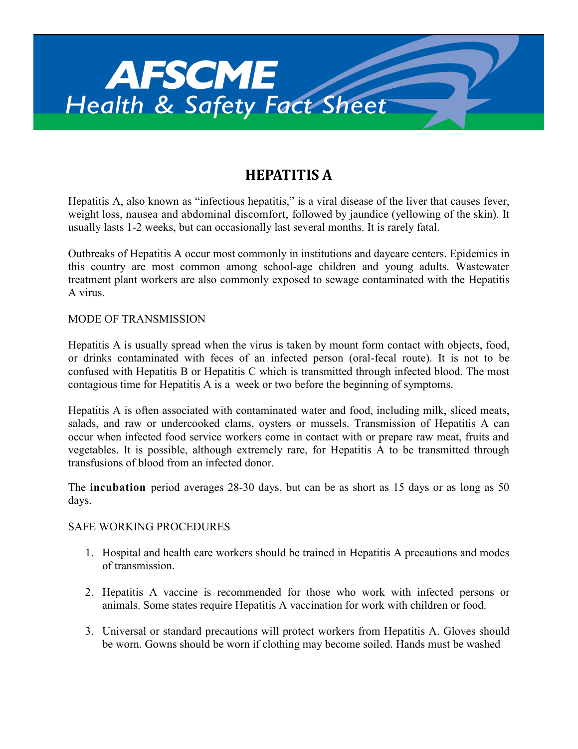

## **HEPATITIS A**

Hepatitis A, also known as "infectious hepatitis," is a viral disease of the liver that causes fever, weight loss, nausea and abdominal discomfort, followed by jaundice (yellowing of the skin). It usually lasts 1-2 weeks, but can occasionally last several months. It is rarely fatal.

Outbreaks of Hepatitis A occur most commonly in institutions and daycare centers. Epidemics in this country are most common among school-age children and young adults. Wastewater treatment plant workers are also commonly exposed to sewage contaminated with the Hepatitis A virus.

## MODE OF TRANSMISSION

Hepatitis A is usually spread when the virus is taken by mount form contact with objects, food, or drinks contaminated with feces of an infected person (oral-fecal route). It is not to be confused with Hepatitis B or Hepatitis C which is transmitted through infected blood. The most contagious time for Hepatitis A is a week or two before the beginning of symptoms.

Hepatitis A is often associated with contaminated water and food, including milk, sliced meats, salads, and raw or undercooked clams, oysters or mussels. Transmission of Hepatitis A can occur when infected food service workers come in contact with or prepare raw meat, fruits and vegetables. It is possible, although extremely rare, for Hepatitis A to be transmitted through transfusions of blood from an infected donor.

The **incubation** period averages 28-30 days, but can be as short as 15 days or as long as 50 days.

## SAFE WORKING PROCEDURES

- 1. Hospital and health care workers should be trained in Hepatitis A precautions and modes of transmission.
- 2. Hepatitis A vaccine is recommended for those who work with infected persons or animals. Some states require Hepatitis A vaccination for work with children or food.
- 3. Universal or standard precautions will protect workers from Hepatitis A. Gloves should be worn. Gowns should be worn if clothing may become soiled. Hands must be washed